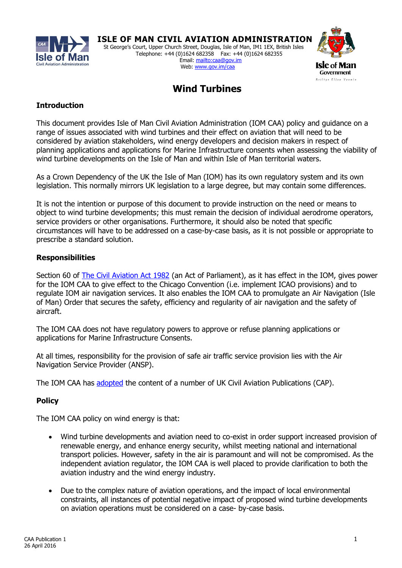

 **ISLE OF MAN CIVIL AVIATION ADMINISTRATION** St George's Court, Upper Church Street, Douglas, Isle of Man, IM1 1EX, British Isles Telephone: +44 (0)1624 682358 Fax: +44 (0)1624 682355 Email: <mailto:caa@gov.im> Web[: www.gov.im/caa](www.gov.im/caa)



# **Wind Turbines**

# **Introduction**

This document provides Isle of Man Civil Aviation Administration (IOM CAA) policy and guidance on a range of issues associated with wind turbines and their effect on aviation that will need to be considered by aviation stakeholders, wind energy developers and decision makers in respect of planning applications and applications for Marine Infrastructure consents when assessing the viability of wind turbine developments on the Isle of Man and within Isle of Man territorial waters.

As a Crown Dependency of the UK the Isle of Man (IOM) has its own regulatory system and its own legislation. This normally mirrors UK legislation to a large degree, but may contain some differences.

It is not the intention or purpose of this document to provide instruction on the need or means to object to wind turbine developments; this must remain the decision of individual aerodrome operators, service providers or other organisations. Furthermore, it should also be noted that specific circumstances will have to be addressed on a case-by-case basis, as it is not possible or appropriate to prescribe a standard solution.

### **Responsibilities**

Section 60 of **The Civil Aviation Act 1982** (an Act of Parliament), as it has effect in the IOM, gives power for the IOM CAA to give effect to the Chicago Convention (i.e. implement ICAO provisions) and to regulate IOM air navigation services. It also enables the IOM CAA to promulgate an Air Navigation (Isle of Man) Order that secures the safety, efficiency and regularity of air navigation and the safety of aircraft.

The IOM CAA does not have regulatory powers to approve or refuse planning applications or applications for Marine Infrastructure Consents.

At all times, responsibility for the provision of safe air traffic service provision lies with the Air Navigation Service Provider (ANSP).

The IOM CAA has [adopted](https://www.gov.im/lib/docs/ded/Aircraft/Legislation/caapublication03comprehensivea1.pdf) the content of a number of UK Civil Aviation Publications (CAP).

## **Policy**

The IOM CAA policy on wind energy is that:

- Wind turbine developments and aviation need to co-exist in order support increased provision of renewable energy, and enhance energy security, whilst meeting national and international transport policies. However, safety in the air is paramount and will not be compromised. As the independent aviation regulator, the IOM CAA is well placed to provide clarification to both the aviation industry and the wind energy industry.
- Due to the complex nature of aviation operations, and the impact of local environmental constraints, all instances of potential negative impact of proposed wind turbine developments on aviation operations must be considered on a case- by-case basis.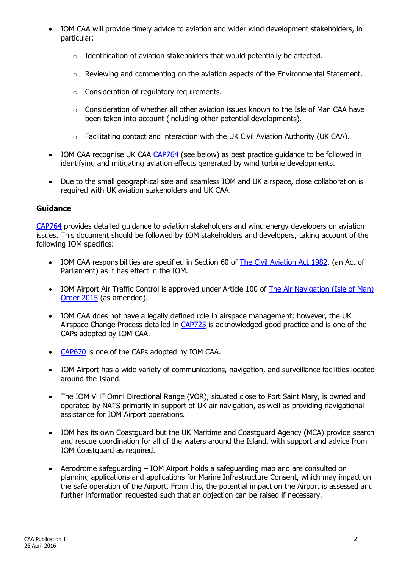- IOM CAA will provide timely advice to aviation and wider wind development stakeholders, in particular:
	- o Identification of aviation stakeholders that would potentially be affected.
	- $\circ$  Reviewing and commenting on the aviation aspects of the Environmental Statement.
	- o Consideration of regulatory requirements.
	- $\circ$  Consideration of whether all other aviation issues known to the Isle of Man CAA have been taken into account (including other potential developments).
	- o Facilitating contact and interaction with the UK Civil Aviation Authority (UK CAA).
- IOM CAA recognise UK CAA [CAP764](http://publicapps.caa.co.uk/modalapplication.aspx?catid=1&pagetype=65&appid=11&mode=detail&id=5609) (see below) as best practice guidance to be followed in identifying and mitigating aviation effects generated by wind turbine developments.
- Due to the small geographical size and seamless IOM and UK airspace, close collaboration is required with UK aviation stakeholders and UK CAA.

### **Guidance**

[CAP764](http://publicapps.caa.co.uk/modalapplication.aspx?catid=1&pagetype=65&appid=11&mode=detail&id=5609) provides detailed guidance to aviation stakeholders and wind energy developers on aviation issues. This document should be followed by IOM stakeholders and developers, taking account of the following IOM specifics:

- IOM CAA responsibilities are specified in Section 60 of [The Civil Aviation Act 1982,](https://www.gov.im/ded/Aircraft/legislation.xml?menuid=24198) (an Act of Parliament) as it has effect in the IOM.
- IOM Airport Air Traffic Control is approved under Article 100 of The Air Navigation (Isle of Man) [Order 2015](https://www.gov.im/ded/Aircraft/legislation.xml?menuid=24198) (as amended).
- IOM CAA does not have a legally defined role in airspace management; however, the UK Airspace Change Process detailed in [CAP725](http://publicapps.caa.co.uk/modalapplication.aspx?catid=1&pagetype=65&appid=11&mode=detail&id=395) is acknowledged good practice and is one of the CAPs adopted by IOM CAA.
- [CAP670](http://publicapps.caa.co.uk/modalapplication.aspx?catid=1&pagetype=65&appid=11&mode=detail&id=200) is one of the CAPs adopted by IOM CAA.
- IOM Airport has a wide variety of communications, navigation, and surveillance facilities located around the Island.
- The IOM VHF Omni Directional Range (VOR), situated close to Port Saint Mary, is owned and operated by NATS primarily in support of UK air navigation, as well as providing navigational assistance for IOM Airport operations.
- IOM has its own Coastguard but the UK Maritime and Coastguard Agency (MCA) provide search and rescue coordination for all of the waters around the Island, with support and advice from IOM Coastguard as required.
- Aerodrome safeguarding IOM Airport holds a safeguarding map and are consulted on planning applications and applications for Marine Infrastructure Consent, which may impact on the safe operation of the Airport. From this, the potential impact on the Airport is assessed and further information requested such that an objection can be raised if necessary.